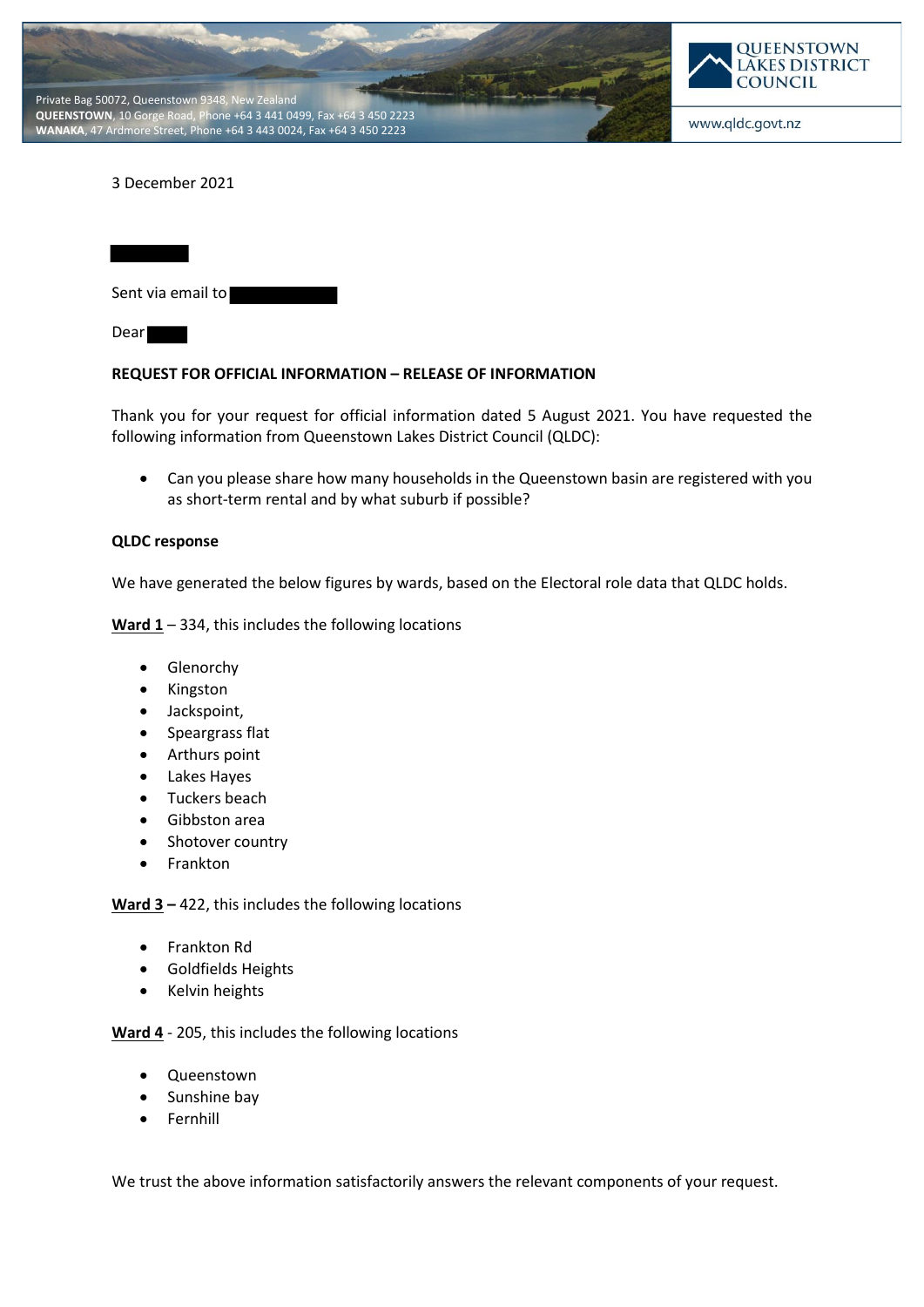



## 3 December 2021

| Sent via email to |  |
|-------------------|--|
| Dear              |  |

## **REQUEST FOR OFFICIAL INFORMATION – RELEASE OF INFORMATION**

Thank you for your request for official information dated 5 August 2021. You have requested the following information from Queenstown Lakes District Council (QLDC):

• Can you please share how many households in the Queenstown basin are registered with you as short-term rental and by what suburb if possible?

## **QLDC response**

We have generated the below figures by wards, based on the Electoral role data that QLDC holds.

Ward 1 – 334, this includes the following locations

- Glenorchy
- Kingston
- Jackspoint,
- Speargrass flat
- Arthurs point
- Lakes Hayes
- Tuckers beach
- Gibbston area
- Shotover country
- Frankton

**Ward 3 –** 422, this includes the following locations

- Frankton Rd
- Goldfields Heights
- Kelvin heights

**Ward 4** - 205, this includes the following locations

- Queenstown
- Sunshine bay
- Fernhill

We trust the above information satisfactorily answers the relevant components of your request.